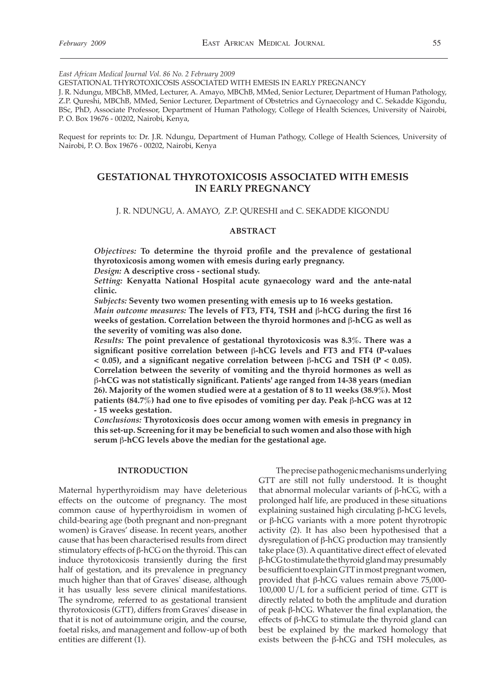*East African Medical Journal Vol. 86 No. 2 February 2009*

GESTATIONAL THYROTOXICOSIS ASSOCIATED WITH EMESIS IN EARLY PREGNANCY

J. R. Ndungu, MBChB, MMed, Lecturer, A. Amayo, MBChB, MMed, Senior Lecturer, Department of Human Pathology, Z.P. Qureshi, MBChB, MMed, Senior Lecturer, Department of Obstetrics and Gynaecology and C. Sekadde Kigondu, BSc, PhD, Associate Professor, Department of Human Pathology, College of Health Sciences, University of Nairobi, P. O. Box 19676 - 00202, Nairobi, Kenya,

Request for reprints to: Dr. J.R. Ndungu, Department of Human Pathogy, College of Health Sciences, University of Nairobi, P. O. Box 19676 - 00202, Nairobi, Kenya

# **GESTATIONAL THYROTOXICOSIS ASSOCIATED WITH EMESIS IN EARLY PREGNANCY**

J. R. NDUNGU, A. AMAYO, Z.P. QURESHI and C. SEKADDE KIGONDU

### **ABSTRACT**

*Objectives:* **To determine the thyroid profile and the prevalence of gestational thyrotoxicosis among women with emesis during early pregnancy.** 

*Design:* **A descriptive cross - sectional study.** 

*Setting:* **Kenyatta National Hospital acute gynaecology ward and the ante-natal clinic.** 

*Subjects:* **Seventy two women presenting with emesis up to 16 weeks gestation.** *Main outcome measures:* **The levels of FT3, FT4, TSH and** β**-hCG during the first 16 weeks of gestation. Correlation between the thyroid hormones and** β**-hCG as well as the severity of vomiting was also done.** 

*Results:* **The point prevalence of gestational thyrotoxicosis was 8.3%. There was a significant positive correlation between** β**-hCG levels and FT3 and FT4 (P-values < 0.05), and a significant negative correlation between** β**-hCG and TSH (P < 0.05). Correlation between the severity of vomiting and the thyroid hormones as well as**  β**-hCG was not statistically significant. Patients' age ranged from 14-38 years (median 26). Majority of the women studied were at a gestation of 8 to 11 weeks (38.9%). Most patients (84.7%) had one to five episodes of vomiting per day. Peak** β**-hCG was at 12 - 15 weeks gestation.** 

*Conclusions:* **Thyrotoxicosis does occur among women with emesis in pregnancy in this set-up. Screening for it may be beneficial to such women and also those with high serum** β**-hCG levels above the median for the gestational age.** 

### **INTRODUCTION**

Maternal hyperthyroidism may have deleterious effects on the outcome of pregnancy. The most common cause of hyperthyroidism in women of child-bearing age (both pregnant and non-pregnant women) is Graves' disease. In recent years, another cause that has been characterised results from direct stimulatory effects of β-hCG on the thyroid. This can induce thyrotoxicosis transiently during the first half of gestation, and its prevalence in pregnancy much higher than that of Graves' disease, although it has usually less severe clinical manifestations. The syndrome, referred to as gestational transient thyrotoxicosis (GTT), differs from Graves' disease in that it is not of autoimmune origin, and the course, foetal risks, and management and follow-up of both entities are different (1).

 The precise pathogenic mechanisms underlying GTT are still not fully understood. It is thought that abnormal molecular variants of β-hCG, with a prolonged half life, are produced in these situations explaining sustained high circulating β-hCG levels, or β-hCG variants with a more potent thyrotropic activity (2). It has also been hypothesised that a dysregulation of β-hCG production may transiently take place (3). A quantitative direct effect of elevated β-hCG to stimulate the thyroid gland may presumably be sufficient to explain GTT in most pregnant women, provided that β-hCG values remain above 75,000- 100,000 U/L for a sufficient period of time. GTT is directly related to both the amplitude and duration of peak β-hCG. Whatever the final explanation, the effects of β-hCG to stimulate the thyroid gland can best be explained by the marked homology that exists between the β-hCG and TSH molecules, as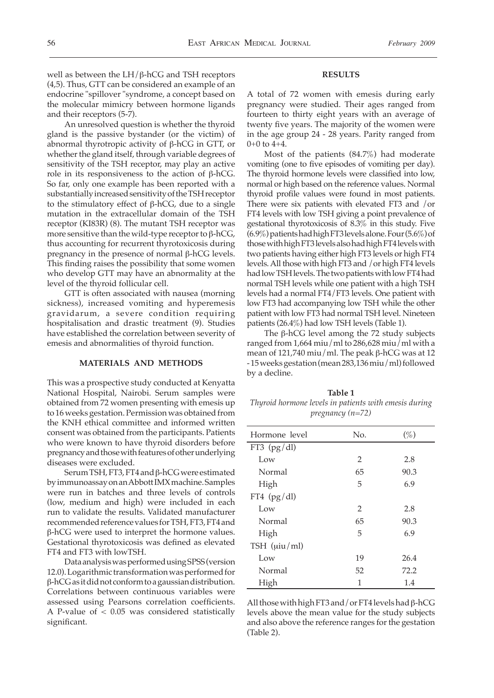well as between the LH/β-hCG and TSH receptors (4,5). Thus, GTT can be considered an example of an endocrine "spillover "syndrome, a concept based on the molecular mimicry between hormone ligands and their receptors (5-7).

 An unresolved question is whether the thyroid gland is the passive bystander (or the victim) of abnormal thyrotropic activity of β-hCG in GTT, or whether the gland itself, through variable degrees of sensitivity of the TSH receptor, may play an active role in its responsiveness to the action of β-hCG. So far, only one example has been reported with a substantially increased sensitivity of the TSH receptor to the stimulatory effect of β-hCG, due to a single mutation in the extracellular domain of the TSH receptor (KI83R) (8). The mutant TSH receptor was more sensitive than the wild-type receptor to  $β$ -hCG, thus accounting for recurrent thyrotoxicosis during pregnancy in the presence of normal β-hCG levels. This finding raises the possibility that some women who develop GTT may have an abnormality at the level of the thyroid follicular cell.

 GTT is often associated with nausea (morning sickness), increased vomiting and hyperemesis gravidarum, a severe condition requiring hospitalisation and drastic treatment (9). Studies have established the correlation between severity of emesis and abnormalities of thyroid function.

## **MATERIALS AND METHODS**

This was a prospective study conducted at Kenyatta National Hospital, Nairobi. Serum samples were obtained from 72 women presenting with emesis up to 16 weeks gestation. Permission was obtained from the KNH ethical committee and informed written consent was obtained from the participants. Patients who were known to have thyroid disorders before pregnancy and those with features of other underlying diseases were excluded.

 Serum TSH, FT3, FT4 and β-hCG were estimated by immunoassay on an Abbott IMX machine. Samples were run in batches and three levels of controls (low, medium and high) were included in each run to validate the results. Validated manufacturer recommended reference values for T5H, FT3, FT4 and β-hCG were used to interpret the hormone values. Gestational thyrotoxicosis was defined as elevated FT4 and FT3 with lowTSH.

 Data analysis was performed using SPSS (version 12.0). Logarithmic transformation was performed for β-hCG as it did not conform to a gaussian distribution. Correlations between continuous variables were assessed using Pearsons correlation coefficients. A P-value of < 0.05 was considered statistically significant.

#### **RESULTS**

A total of 72 women with emesis during early pregnancy were studied. Their ages ranged from fourteen to thirty eight years with an average of twenty five years. The majority of the women were in the age group 24 - 28 years. Parity ranged from  $0+0$  to  $4+4$ .

 Most of the patients (84.7%) had moderate vomiting (one to five episodes of vomiting per day). The thyroid hormone levels were classified into low, normal or high based on the reference values. Normal thyroid profile values were found in most patients. There were six patients with elevated FT3 and /or FT4 levels with low TSH giving a point prevalence of gestational thyrotoxicosis of 8.3% in this study. Five (6.9%) patients had high FT3 levels alone. Four (5.6%) of those with high FT3 levels also had high FT4 levels with two patients having either high FT3 levels or high FT4 levels. All those with high FT3 and /or high FT4 levels had low TSH levels. The two patients with low FT4 had normal TSH levels while one patient with a high TSH levels had a normal FT4/FT3 levels. One patient with low FT3 had accompanying low TSH while the other patient with low FT3 had normal TSH level. Nineteen patients (26.4%) had low TSH levels (Table 1).

 The β-hCG level among the 72 study subjects ranged from 1,664 miu/ml to 286,628 miu/ml with a mean of 121,740 miu/ml. The peak  $\beta$ -hCG was at 12 - 15 weeks gestation (mean 283,136 miu/ml) followed by a decline.

**Table 1** *Thyroid hormone levels in patients with emesis during pregnancy (n=72)* 

| Hormone level   | No.            | $(\%)$ |
|-----------------|----------------|--------|
| FT3 $(pg/dl)$   |                |        |
| Low             | $\overline{2}$ | 2.8    |
| Normal          | 65             | 90.3   |
| High            | 5              | 6.9    |
| FT4 $(pg/dl)$   |                |        |
| Low             | 2              | 2.8    |
| Normal          | 65             | 90.3   |
| High            | 5              | 6.9    |
| TSH $(iuiu/ml)$ |                |        |
| Low             | 19             | 26.4   |
| Normal          | 52             | 72.2   |
| High            | 1              | 1.4    |

All those with high FT3 and/or FT4 levels had β-hCG levels above the mean value for the study subjects and also above the reference ranges for the gestation (Table 2).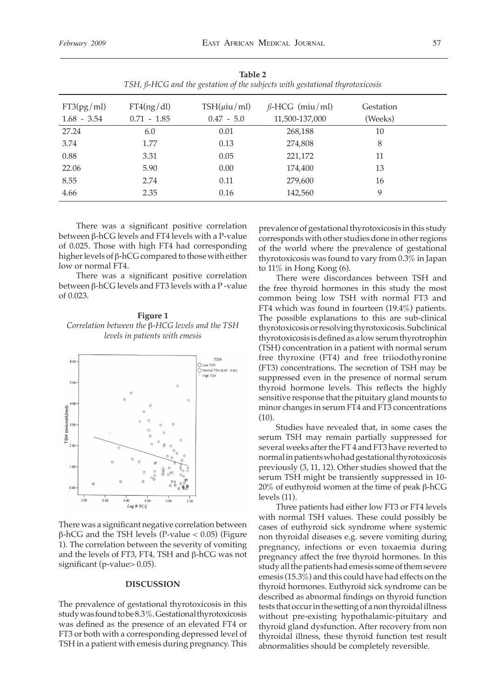| 1001C<br>TSH, ß-HCG and the gestation of the subjects with gestational thyrotoxicosis |                             |                                    |                                         |                      |  |  |
|---------------------------------------------------------------------------------------|-----------------------------|------------------------------------|-----------------------------------------|----------------------|--|--|
| FT3(pg/ml)<br>$1.68 - 3.54$                                                           | FT4(ng/dl)<br>$0.71 - 1.85$ | $TSH(\mu i\mu/ml)$<br>$0.47 - 5.0$ | $\beta$ -HCG (miu/ml)<br>11,500-137,000 | Gestation<br>(Weeks) |  |  |
| 27.24                                                                                 | 6.0                         | 0.01                               | 268,188                                 | 10                   |  |  |
| 3.74                                                                                  | 1.77                        | 0.13                               | 274,808                                 | 8                    |  |  |
| 0.88                                                                                  | 3.31                        | 0.05                               | 221,172                                 | 11                   |  |  |
| 22.06                                                                                 | 5.90                        | 0.00                               | 174,400                                 | 13                   |  |  |
| 8.55                                                                                  | 2.74                        | 0.11                               | 279,600                                 | 16                   |  |  |
| 4.66                                                                                  | 2.35                        | 0.16                               | 142,560                                 | 9                    |  |  |

**Table 2**

 There was a significant positive correlation between β-hCG levels and FT4 levels with a P-value of 0.025. Those with high FT4 had corresponding higher levels of β-hCG compared to those with either low or normal FT4.

 There was a significant positive correlation between β-hCG levels and FT3 levels with a P -value of 0.023.

**Figure 1** *Correlation between the* β*-HCG levels and the TSH levels in patients with emesis*



There was a significant negative correlation between β-hCG and the TSH levels (P-value < 0.05) (Figure 1). The correlation between the severity of vomiting and the levels of FT3, FT4, TSH and β-hCG was not significant (p-value> 0.05).

### **DISCUSSION**

The prevalence of gestational thyrotoxicosis in this study was found to be 8.3 %. Gestational thyrotoxicosis was defined as the presence of an elevated FT4 or FT3 or both with a corresponding depressed level of TSH in a patient with emesis during pregnancy. This prevalence of gestational thyrotoxicosis in this study corresponds with other studies done in other regions of the world where the prevalence of gestational thyrotoxicosis was found to vary from 0.3% in Japan to 11% in Hong Kong (6).

 There were discordances between TSH and the free thyroid hormones in this study the most common being low TSH with normal FT3 and FT4 which was found in fourteen (19.4%) patients. The possible explanations to this are sub-clinical thyrotoxicosis or resolving thyrotoxicosis. Subclinical thyrotoxicosis is defined as a low serum thyrotrophin (TSH) concentration in a patient with normal serum free thyroxine (FT4) and free triiodothyronine (FT3) concentrations. The secretion of TSH may be suppressed even in the presence of normal serum thyroid hormone levels. This reflects the highly sensitive response that the pituitary gland mounts to minor changes in serum FT4 and FT3 concentrations  $(10)$ .

 Studies have revealed that, in some cases the serum TSH may remain partially suppressed for several weeks after the FT 4 and FT3 have reverted to normal in patients who had gestational thyrotoxicosis previously (3, 11, 12). Other studies showed that the serum TSH might be transiently suppressed in 10- 20% of euthyroid women at the time of peak β-hCG levels (11).

 Three patients had either low FT3 or FT4 levels with normal TSH values. These could possibly be cases of euthyroid sick syndrome where systemic non thyroidal diseases e.g. severe vomiting during pregnancy, infections or even toxaemia during pregnancy affect the free thyroid hormones. In this study all the patients had emesis some of them severe emesis (15.3%) and this could have had effects on the thyroid hormones. Euthyroid sick syndrome can be described as abnormal findings on thyroid function tests that occur in the setting of a non thyroidal illness without pre-existing hypothalamic-pituitary and thyroid gland dysfunction. After recovery from non thyroidal illness, these thyroid function test result abnormalities should be completely reversible.